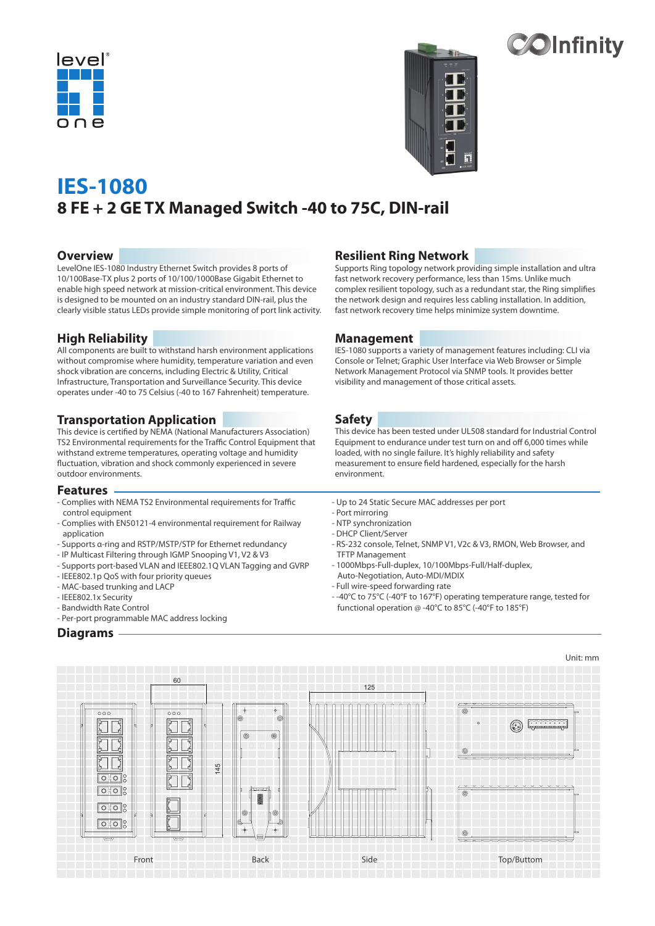



# $\infty$ Infinity

## **IES-1080 8 FE + 2 GE TX Managed Switch -40 to 75C, DIN-rail**

#### **Overview**

LevelOne IES-1080 Industry Ethernet Switch provides 8 ports of 10/100Base-TX plus 2 ports of 10/100/1000Base Gigabit Ethernet to enable high speed network at mission-critical environment. This device is designed to be mounted on an industry standard DIN-rail, plus the clearly visible status LEDs provide simple monitoring of port link activity.

## **High Reliability**

All components are built to withstand harsh environment applications without compromise where humidity, temperature variation and even shock vibration are concerns, including Electric & Utility, Critical Infrastructure, Transportation and Surveillance Security. This device operates under -40 to 75 Celsius (-40 to 167 Fahrenheit) temperature.

#### **Transportation Application**

This device is certified by NEMA (National Manufacturers Association) TS2 Environmental requirements for the Traffic Control Equipment that withstand extreme temperatures, operating voltage and humidity fluctuation, vibration and shock commonly experienced in severe outdoor environments.

#### **Features**

- Complies with NEMA TS2 Environmental requirements for Traffic control equipment
- Complies with EN50121-4 environmental requirement for Railway application
- Supports α-ring and RSTP/MSTP/STP for Ethernet redundancy
- IP Multicast Filtering through IGMP Snooping V1, V2 & V3
- Supports port-based VLAN and IEEE802.1Q VLAN Tagging and GVRP
- IEEE802.1p QoS with four priority queues
- MAC-based trunking and LACP
- IEEE802.1x Security
- Bandwidth Rate Control
- Per-port programmable MAC address locking

### **Diagrams**

## **Resilient Ring Network**

Supports Ring topology network providing simple installation and ultra fast network recovery performance, less than 15ms. Unlike much complex resilient topology, such as a redundant star, the Ring simplifies the network design and requires less cabling installation. In addition, fast network recovery time helps minimize system downtime.

#### **Management**

IES-1080 supports a variety of management features including: CLI via Console or Telnet; Graphic User Interface via Web Browser or Simple Network Management Protocol via SNMP tools. It provides better visibility and management of those critical assets.

#### **Safety**

This device has been tested under UL508 standard for Industrial Control Equipment to endurance under test turn on and off 6,000 times while loaded, with no single failure. It's highly reliability and safety measurement to ensure field hardened, especially for the harsh environment.

- Up to 24 Static Secure MAC addresses per port
- Port mirroring
- NTP synchronization
- DHCP Client/Server
- RS-232 console, Telnet, SNMP V1, V2c & V3, RMON, Web Browser, and TFTP Management
- 1000Mbps-Full-duplex, 10/100Mbps-Full/Half-duplex, Auto-Negotiation, Auto-MDI/MDIX
- Full wire-speed forwarding rate
- -40°C to 75°C (-40°F to 167°F) operating temperature range, tested for functional operation @ -40°C to 85°C (-40°F to 185°F)